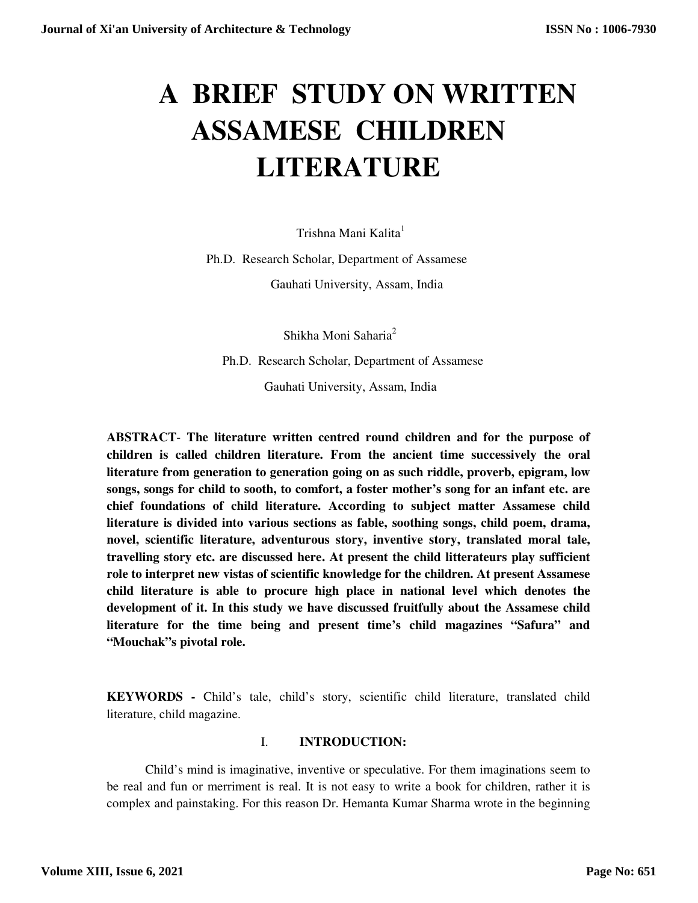# **A BRIEF STUDY ON WRITTEN ASSAMESE CHILDREN LITERATURE**

Trishna Mani Kalita<sup>1</sup>

Ph.D. Research Scholar, Department of Assamese

Gauhati University, Assam, India

Shikha Moni Saharia<sup>2</sup>

Ph.D. Research Scholar, Department of Assamese

Gauhati University, Assam, India

**ABSTRACT**- **The literature written centred round children and for the purpose of children is called children literature. From the ancient time successively the oral literature from generation to generation going on as such riddle, proverb, epigram, low songs, songs for child to sooth, to comfort, a foster mother's song for an infant etc. are chief foundations of child literature. According to subject matter Assamese child literature is divided into various sections as fable, soothing songs, child poem, drama, novel, scientific literature, adventurous story, inventive story, translated moral tale, travelling story etc. are discussed here. At present the child litterateurs play sufficient role to interpret new vistas of scientific knowledge for the children. At present Assamese child literature is able to procure high place in national level which denotes the development of it. In this study we have discussed fruitfully about the Assamese child literature for the time being and present time's child magazines "Safura" and "Mouchak"s pivotal role.**

**KEYWORDS -** Child's tale, child's story, scientific child literature, translated child literature, child magazine.

#### I. **INTRODUCTION:**

Child's mind is imaginative, inventive or speculative. For them imaginations seem to be real and fun or merriment is real. It is not easy to write a book for children, rather it is complex and painstaking. For this reason Dr. Hemanta Kumar Sharma wrote in the beginning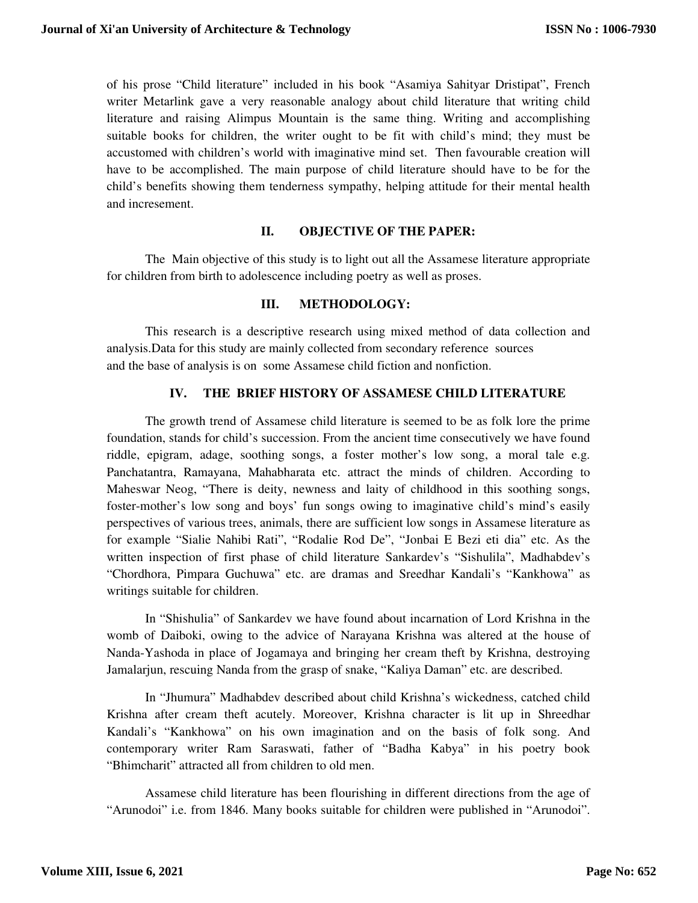of his prose "Child literature" included in his book "Asamiya Sahityar Dristipat", French writer Metarlink gave a very reasonable analogy about child literature that writing child literature and raising Alimpus Mountain is the same thing. Writing and accomplishing suitable books for children, the writer ought to be fit with child's mind; they must be accustomed with children's world with imaginative mind set. Then favourable creation will have to be accomplished. The main purpose of child literature should have to be for the child's benefits showing them tenderness sympathy, helping attitude for their mental health and incresement.

## **II. OBJECTIVE OF THE PAPER:**

The Main objective of this study is to light out all the Assamese literature appropriate for children from birth to adolescence including poetry as well as proses.

## **III. METHODOLOGY:**

This research is a descriptive research using mixed method of data collection and analysis.Data for this study are mainly collected from secondary reference sources and the base of analysis is on some Assamese child fiction and nonfiction.

## **IV. THE BRIEF HISTORY OF ASSAMESE CHILD LITERATURE**

The growth trend of Assamese child literature is seemed to be as folk lore the prime foundation, stands for child's succession. From the ancient time consecutively we have found riddle, epigram, adage, soothing songs, a foster mother's low song, a moral tale e.g. Panchatantra, Ramayana, Mahabharata etc. attract the minds of children. According to Maheswar Neog, "There is deity, newness and laity of childhood in this soothing songs, foster-mother's low song and boys' fun songs owing to imaginative child's mind's easily perspectives of various trees, animals, there are sufficient low songs in Assamese literature as for example "Sialie Nahibi Rati", "Rodalie Rod De", "Jonbai E Bezi eti dia" etc. As the written inspection of first phase of child literature Sankardev's "Sishulila", Madhabdev's "Chordhora, Pimpara Guchuwa" etc. are dramas and Sreedhar Kandali's "Kankhowa" as writings suitable for children.

In "Shishulia" of Sankardev we have found about incarnation of Lord Krishna in the womb of Daiboki, owing to the advice of Narayana Krishna was altered at the house of Nanda-Yashoda in place of Jogamaya and bringing her cream theft by Krishna, destroying Jamalarjun, rescuing Nanda from the grasp of snake, "Kaliya Daman" etc. are described.

In "Jhumura" Madhabdev described about child Krishna's wickedness, catched child Krishna after cream theft acutely. Moreover, Krishna character is lit up in Shreedhar Kandali's "Kankhowa" on his own imagination and on the basis of folk song. And contemporary writer Ram Saraswati, father of "Badha Kabya" in his poetry book "Bhimcharit" attracted all from children to old men.

Assamese child literature has been flourishing in different directions from the age of "Arunodoi" i.e. from 1846. Many books suitable for children were published in "Arunodoi".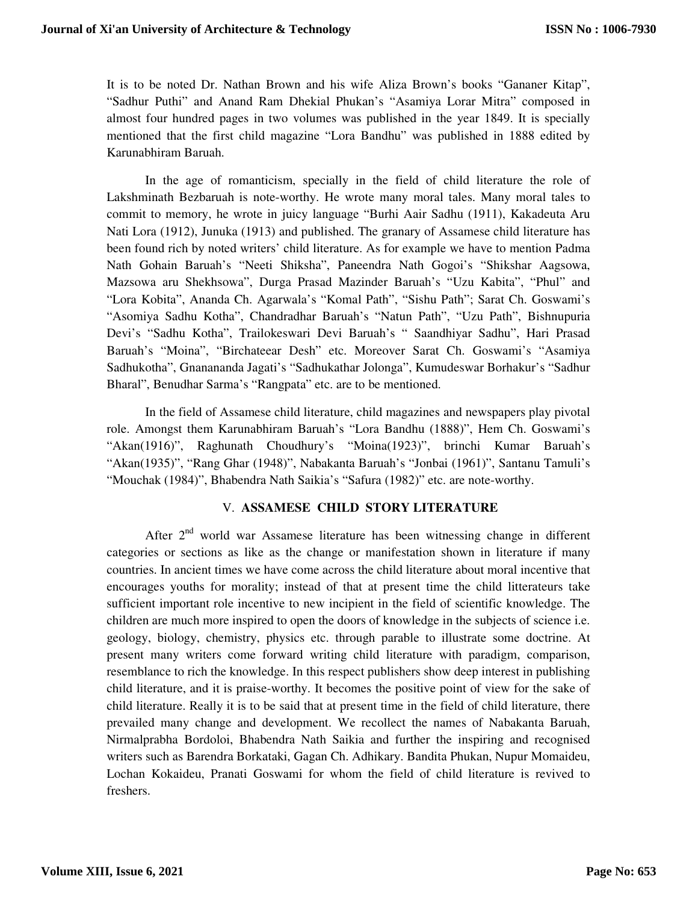It is to be noted Dr. Nathan Brown and his wife Aliza Brown's books "Gananer Kitap", "Sadhur Puthi" and Anand Ram Dhekial Phukan's "Asamiya Lorar Mitra" composed in almost four hundred pages in two volumes was published in the year 1849. It is specially mentioned that the first child magazine "Lora Bandhu" was published in 1888 edited by Karunabhiram Baruah.

In the age of romanticism, specially in the field of child literature the role of Lakshminath Bezbaruah is note-worthy. He wrote many moral tales. Many moral tales to commit to memory, he wrote in juicy language "Burhi Aair Sadhu (1911), Kakadeuta Aru Nati Lora (1912), Junuka (1913) and published. The granary of Assamese child literature has been found rich by noted writers' child literature. As for example we have to mention Padma Nath Gohain Baruah's "Neeti Shiksha", Paneendra Nath Gogoi's "Shikshar Aagsowa, Mazsowa aru Shekhsowa", Durga Prasad Mazinder Baruah's "Uzu Kabita", "Phul" and "Lora Kobita", Ananda Ch. Agarwala's "Komal Path", "Sishu Path"; Sarat Ch. Goswami's "Asomiya Sadhu Kotha", Chandradhar Baruah's "Natun Path", "Uzu Path", Bishnupuria Devi's "Sadhu Kotha", Trailokeswari Devi Baruah's " Saandhiyar Sadhu", Hari Prasad Baruah's "Moina", "Birchateear Desh" etc. Moreover Sarat Ch. Goswami's "Asamiya Sadhukotha", Gnanananda Jagati's "Sadhukathar Jolonga", Kumudeswar Borhakur's "Sadhur Bharal", Benudhar Sarma's "Rangpata" etc. are to be mentioned.

In the field of Assamese child literature, child magazines and newspapers play pivotal role. Amongst them Karunabhiram Baruah's "Lora Bandhu (1888)", Hem Ch. Goswami's "Akan(1916)", Raghunath Choudhury's "Moina(1923)", brinchi Kumar Baruah's "Akan(1935)", "Rang Ghar (1948)", Nabakanta Baruah's "Jonbai (1961)", Santanu Tamuli's "Mouchak (1984)", Bhabendra Nath Saikia's "Safura (1982)" etc. are note-worthy.

#### V. **ASSAMESE CHILD STORY LITERATURE**

After 2nd world war Assamese literature has been witnessing change in different categories or sections as like as the change or manifestation shown in literature if many countries. In ancient times we have come across the child literature about moral incentive that encourages youths for morality; instead of that at present time the child litterateurs take sufficient important role incentive to new incipient in the field of scientific knowledge. The children are much more inspired to open the doors of knowledge in the subjects of science i.e. geology, biology, chemistry, physics etc. through parable to illustrate some doctrine. At present many writers come forward writing child literature with paradigm, comparison, resemblance to rich the knowledge. In this respect publishers show deep interest in publishing child literature, and it is praise-worthy. It becomes the positive point of view for the sake of child literature. Really it is to be said that at present time in the field of child literature, there prevailed many change and development. We recollect the names of Nabakanta Baruah, Nirmalprabha Bordoloi, Bhabendra Nath Saikia and further the inspiring and recognised writers such as Barendra Borkataki, Gagan Ch. Adhikary. Bandita Phukan, Nupur Momaideu, Lochan Kokaideu, Pranati Goswami for whom the field of child literature is revived to freshers.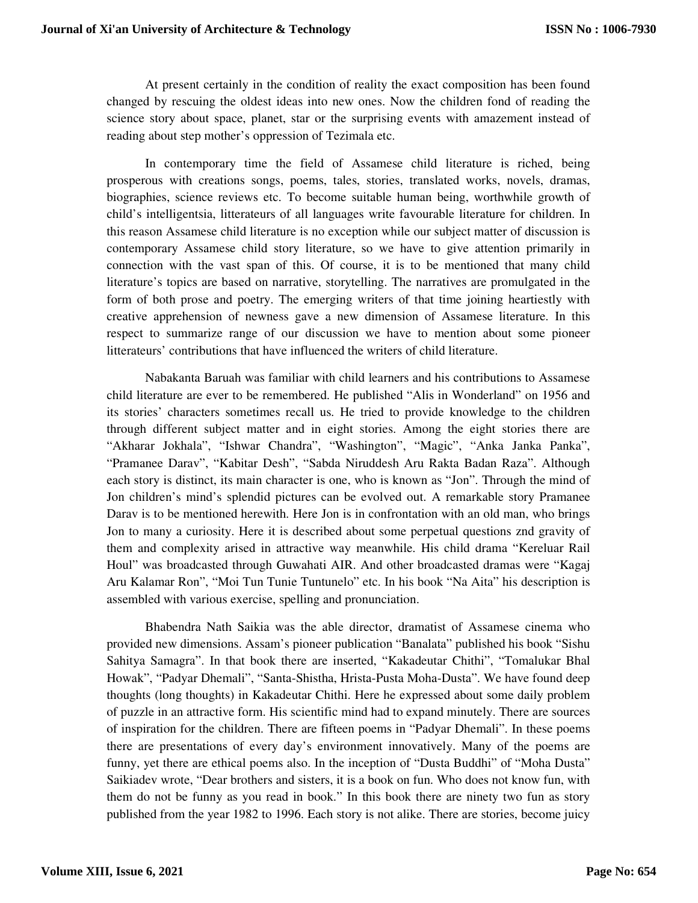At present certainly in the condition of reality the exact composition has been found changed by rescuing the oldest ideas into new ones. Now the children fond of reading the science story about space, planet, star or the surprising events with amazement instead of reading about step mother's oppression of Tezimala etc.

In contemporary time the field of Assamese child literature is riched, being prosperous with creations songs, poems, tales, stories, translated works, novels, dramas, biographies, science reviews etc. To become suitable human being, worthwhile growth of child's intelligentsia, litterateurs of all languages write favourable literature for children. In this reason Assamese child literature is no exception while our subject matter of discussion is contemporary Assamese child story literature, so we have to give attention primarily in connection with the vast span of this. Of course, it is to be mentioned that many child literature's topics are based on narrative, storytelling. The narratives are promulgated in the form of both prose and poetry. The emerging writers of that time joining heartiestly with creative apprehension of newness gave a new dimension of Assamese literature. In this respect to summarize range of our discussion we have to mention about some pioneer litterateurs' contributions that have influenced the writers of child literature.

Nabakanta Baruah was familiar with child learners and his contributions to Assamese child literature are ever to be remembered. He published "Alis in Wonderland" on 1956 and its stories' characters sometimes recall us. He tried to provide knowledge to the children through different subject matter and in eight stories. Among the eight stories there are "Akharar Jokhala", "Ishwar Chandra", "Washington", "Magic", "Anka Janka Panka", "Pramanee Darav", "Kabitar Desh", "Sabda Niruddesh Aru Rakta Badan Raza". Although each story is distinct, its main character is one, who is known as "Jon". Through the mind of Jon children's mind's splendid pictures can be evolved out. A remarkable story Pramanee Darav is to be mentioned herewith. Here Jon is in confrontation with an old man, who brings Jon to many a curiosity. Here it is described about some perpetual questions znd gravity of them and complexity arised in attractive way meanwhile. His child drama "Kereluar Rail Houl" was broadcasted through Guwahati AIR. And other broadcasted dramas were "Kagaj Aru Kalamar Ron", "Moi Tun Tunie Tuntunelo" etc. In his book "Na Aita" his description is assembled with various exercise, spelling and pronunciation.

Bhabendra Nath Saikia was the able director, dramatist of Assamese cinema who provided new dimensions. Assam's pioneer publication "Banalata" published his book "Sishu Sahitya Samagra". In that book there are inserted, "Kakadeutar Chithi", "Tomalukar Bhal Howak", "Padyar Dhemali", "Santa-Shistha, Hrista-Pusta Moha-Dusta". We have found deep thoughts (long thoughts) in Kakadeutar Chithi. Here he expressed about some daily problem of puzzle in an attractive form. His scientific mind had to expand minutely. There are sources of inspiration for the children. There are fifteen poems in "Padyar Dhemali". In these poems there are presentations of every day's environment innovatively. Many of the poems are funny, yet there are ethical poems also. In the inception of "Dusta Buddhi" of "Moha Dusta" Saikiadev wrote, "Dear brothers and sisters, it is a book on fun. Who does not know fun, with them do not be funny as you read in book." In this book there are ninety two fun as story published from the year 1982 to 1996. Each story is not alike. There are stories, become juicy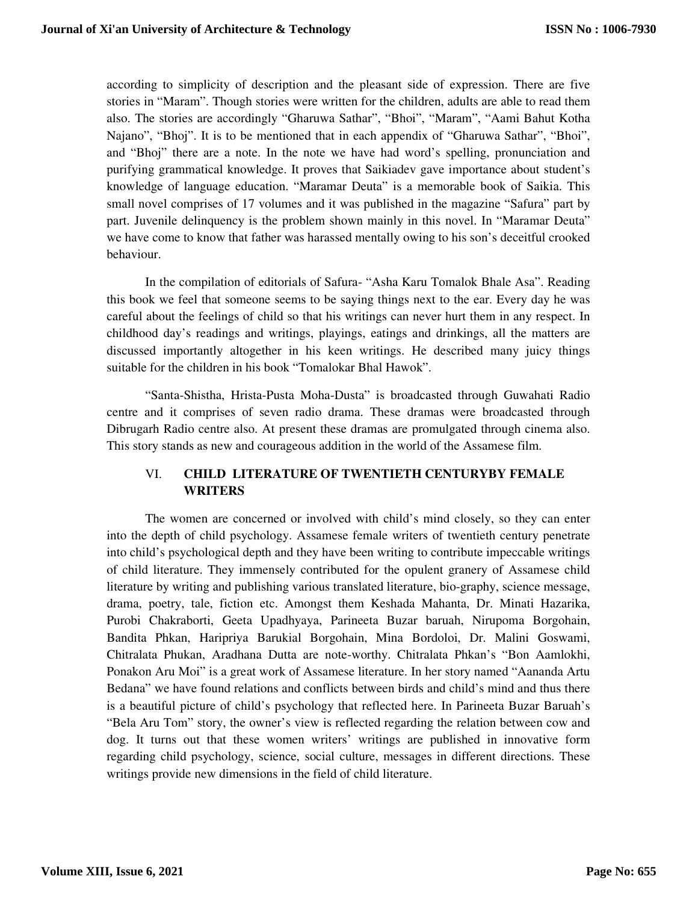according to simplicity of description and the pleasant side of expression. There are five stories in "Maram". Though stories were written for the children, adults are able to read them also. The stories are accordingly "Gharuwa Sathar", "Bhoi", "Maram", "Aami Bahut Kotha Najano", "Bhoj". It is to be mentioned that in each appendix of "Gharuwa Sathar", "Bhoi", and "Bhoj" there are a note. In the note we have had word's spelling, pronunciation and purifying grammatical knowledge. It proves that Saikiadev gave importance about student's knowledge of language education. "Maramar Deuta" is a memorable book of Saikia. This small novel comprises of 17 volumes and it was published in the magazine "Safura" part by part. Juvenile delinquency is the problem shown mainly in this novel. In "Maramar Deuta" we have come to know that father was harassed mentally owing to his son's deceitful crooked behaviour.

In the compilation of editorials of Safura- "Asha Karu Tomalok Bhale Asa". Reading this book we feel that someone seems to be saying things next to the ear. Every day he was careful about the feelings of child so that his writings can never hurt them in any respect. In childhood day's readings and writings, playings, eatings and drinkings, all the matters are discussed importantly altogether in his keen writings. He described many juicy things suitable for the children in his book "Tomalokar Bhal Hawok".

"Santa-Shistha, Hrista-Pusta Moha-Dusta" is broadcasted through Guwahati Radio centre and it comprises of seven radio drama. These dramas were broadcasted through Dibrugarh Radio centre also. At present these dramas are promulgated through cinema also. This story stands as new and courageous addition in the world of the Assamese film.

## VI. **CHILD LITERATURE OF TWENTIETH CENTURYBY FEMALE WRITERS**

The women are concerned or involved with child's mind closely, so they can enter into the depth of child psychology. Assamese female writers of twentieth century penetrate into child's psychological depth and they have been writing to contribute impeccable writings of child literature. They immensely contributed for the opulent granery of Assamese child literature by writing and publishing various translated literature, bio-graphy, science message, drama, poetry, tale, fiction etc. Amongst them Keshada Mahanta, Dr. Minati Hazarika, Purobi Chakraborti, Geeta Upadhyaya, Parineeta Buzar baruah, Nirupoma Borgohain, Bandita Phkan, Haripriya Barukial Borgohain, Mina Bordoloi, Dr. Malini Goswami, Chitralata Phukan, Aradhana Dutta are note-worthy. Chitralata Phkan's "Bon Aamlokhi, Ponakon Aru Moi" is a great work of Assamese literature. In her story named "Aananda Artu Bedana" we have found relations and conflicts between birds and child's mind and thus there is a beautiful picture of child's psychology that reflected here. In Parineeta Buzar Baruah's "Bela Aru Tom" story, the owner's view is reflected regarding the relation between cow and dog. It turns out that these women writers' writings are published in innovative form regarding child psychology, science, social culture, messages in different directions. These writings provide new dimensions in the field of child literature.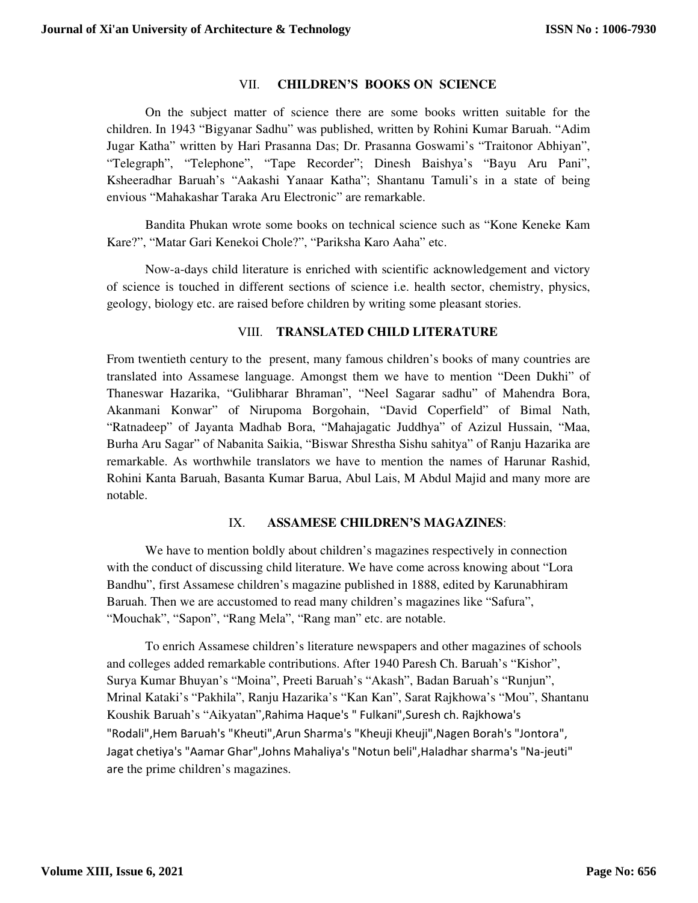#### VII. **CHILDREN'S BOOKS ON SCIENCE**

On the subject matter of science there are some books written suitable for the children. In 1943 "Bigyanar Sadhu" was published, written by Rohini Kumar Baruah. "Adim Jugar Katha" written by Hari Prasanna Das; Dr. Prasanna Goswami's "Traitonor Abhiyan", "Telegraph", "Telephone", "Tape Recorder"; Dinesh Baishya's "Bayu Aru Pani", Ksheeradhar Baruah's "Aakashi Yanaar Katha"; Shantanu Tamuli's in a state of being envious "Mahakashar Taraka Aru Electronic" are remarkable.

Bandita Phukan wrote some books on technical science such as "Kone Keneke Kam Kare?", "Matar Gari Kenekoi Chole?", "Pariksha Karo Aaha" etc.

Now-a-days child literature is enriched with scientific acknowledgement and victory of science is touched in different sections of science i.e. health sector, chemistry, physics, geology, biology etc. are raised before children by writing some pleasant stories.

#### VIII. **TRANSLATED CHILD LITERATURE**

From twentieth century to the present, many famous children's books of many countries are translated into Assamese language. Amongst them we have to mention "Deen Dukhi" of Thaneswar Hazarika, "Gulibharar Bhraman", "Neel Sagarar sadhu" of Mahendra Bora, Akanmani Konwar" of Nirupoma Borgohain, "David Coperfield" of Bimal Nath, "Ratnadeep" of Jayanta Madhab Bora, "Mahajagatic Juddhya" of Azizul Hussain, "Maa, Burha Aru Sagar" of Nabanita Saikia, "Biswar Shrestha Sishu sahitya" of Ranju Hazarika are remarkable. As worthwhile translators we have to mention the names of Harunar Rashid, Rohini Kanta Baruah, Basanta Kumar Barua, Abul Lais, M Abdul Majid and many more are notable.

#### IX. **ASSAMESE CHILDREN'S MAGAZINES**:

We have to mention boldly about children's magazines respectively in connection with the conduct of discussing child literature. We have come across knowing about "Lora Bandhu", first Assamese children's magazine published in 1888, edited by Karunabhiram Baruah. Then we are accustomed to read many children's magazines like "Safura", "Mouchak", "Sapon", "Rang Mela", "Rang man" etc. are notable.

To enrich Assamese children's literature newspapers and other magazines of schools and colleges added remarkable contributions. After 1940 Paresh Ch. Baruah's "Kishor", Surya Kumar Bhuyan's "Moina", Preeti Baruah's "Akash", Badan Baruah's "Runjun", Mrinal Kataki's "Pakhila", Ranju Hazarika's "Kan Kan", Sarat Rajkhowa's "Mou", Shantanu Koushik Baruah's "Aikyatan",Rahima Haque's " Fulkani",Suresh ch. Rajkhowa's "Rodali",Hem Baruah's "Kheuti",Arun Sharma's "Kheuji Kheuji",Nagen Borah's "Jontora", Jagat chetiya's "Aamar Ghar",Johns Mahaliya's "Notun beli",Haladhar sharma's "Na-jeuti" are the prime children's magazines.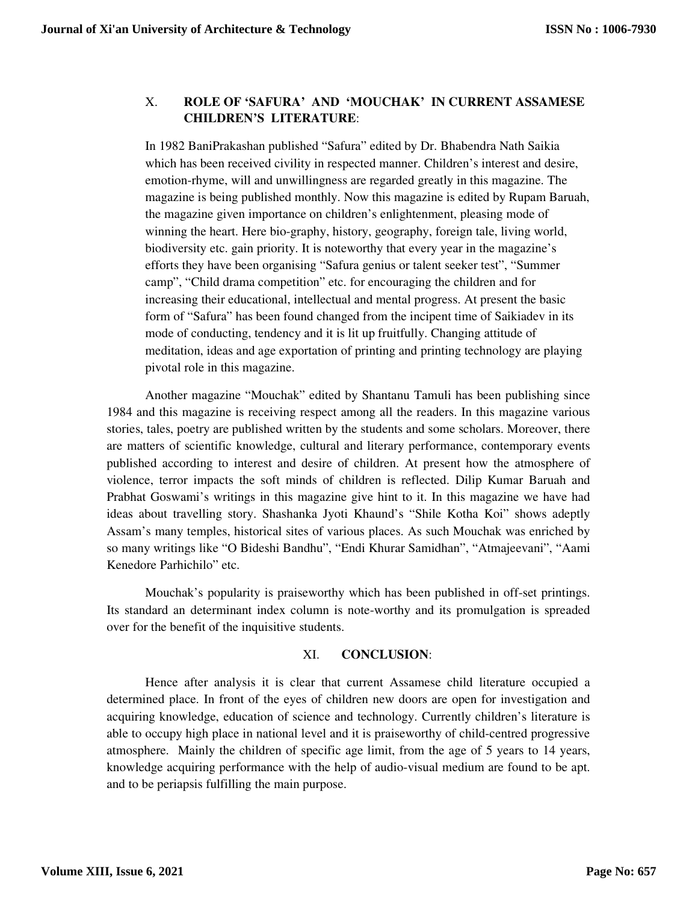# X. **ROLE OF 'SAFURA' AND 'MOUCHAK' IN CURRENT ASSAMESE CHILDREN'S LITERATURE**:

In 1982 BaniPrakashan published "Safura" edited by Dr. Bhabendra Nath Saikia which has been received civility in respected manner. Children's interest and desire, emotion-rhyme, will and unwillingness are regarded greatly in this magazine. The magazine is being published monthly. Now this magazine is edited by Rupam Baruah, the magazine given importance on children's enlightenment, pleasing mode of winning the heart. Here bio-graphy, history, geography, foreign tale, living world, biodiversity etc. gain priority. It is noteworthy that every year in the magazine's efforts they have been organising "Safura genius or talent seeker test", "Summer camp", "Child drama competition" etc. for encouraging the children and for increasing their educational, intellectual and mental progress. At present the basic form of "Safura" has been found changed from the incipent time of Saikiadev in its mode of conducting, tendency and it is lit up fruitfully. Changing attitude of meditation, ideas and age exportation of printing and printing technology are playing pivotal role in this magazine.

Another magazine "Mouchak" edited by Shantanu Tamuli has been publishing since 1984 and this magazine is receiving respect among all the readers. In this magazine various stories, tales, poetry are published written by the students and some scholars. Moreover, there are matters of scientific knowledge, cultural and literary performance, contemporary events published according to interest and desire of children. At present how the atmosphere of violence, terror impacts the soft minds of children is reflected. Dilip Kumar Baruah and Prabhat Goswami's writings in this magazine give hint to it. In this magazine we have had ideas about travelling story. Shashanka Jyoti Khaund's "Shile Kotha Koi" shows adeptly Assam's many temples, historical sites of various places. As such Mouchak was enriched by so many writings like "O Bideshi Bandhu", "Endi Khurar Samidhan", "Atmajeevani", "Aami Kenedore Parhichilo" etc.

Mouchak's popularity is praiseworthy which has been published in off-set printings. Its standard an determinant index column is note-worthy and its promulgation is spreaded over for the benefit of the inquisitive students.

#### XI. **CONCLUSION**:

Hence after analysis it is clear that current Assamese child literature occupied a determined place. In front of the eyes of children new doors are open for investigation and acquiring knowledge, education of science and technology. Currently children's literature is able to occupy high place in national level and it is praiseworthy of child-centred progressive atmosphere. Mainly the children of specific age limit, from the age of 5 years to 14 years, knowledge acquiring performance with the help of audio-visual medium are found to be apt. and to be periapsis fulfilling the main purpose.